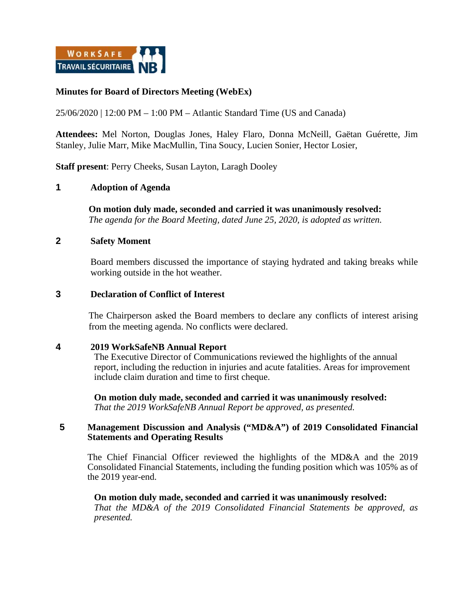

# **Minutes for Board of Directors Meeting (WebEx)**

25/06/2020 | 12:00 PM – 1:00 PM – Atlantic Standard Time (US and Canada)

**Attendees:** Mel Norton, Douglas Jones, Haley Flaro, Donna McNeill, Gaëtan Guérette, Jim Stanley, Julie Marr, Mike MacMullin, Tina Soucy, Lucien Sonier, Hector Losier,

**Staff present**: Perry Cheeks, Susan Layton, Laragh Dooley

## **1 Adoption of Agenda**

**On motion duly made, seconded and carried it was unanimously resolved:**  *The agenda for the Board Meeting, dated June 25, 2020, is adopted as written.*

## **2 Safety Moment**

Board members discussed the importance of staying hydrated and taking breaks while working outside in the hot weather.

#### **3 Declaration of Conflict of Interest**

The Chairperson asked the Board members to declare any conflicts of interest arising from the meeting agenda. No conflicts were declared.

#### **4 2019 WorkSafeNB Annual Report**

The Executive Director of Communications reviewed the highlights of the annual report, including the reduction in injuries and acute fatalities. Areas for improvement include claim duration and time to first cheque.

**On motion duly made, seconded and carried it was unanimously resolved:**  *That the 2019 WorkSafeNB Annual Report be approved, as presented.*

## **5 Management Discussion and Analysis ("MD&A") of 2019 Consolidated Financial Statements and Operating Results**

The Chief Financial Officer reviewed the highlights of the MD&A and the 2019 Consolidated Financial Statements, including the funding position which was 105% as of the 2019 year-end.

#### **On motion duly made, seconded and carried it was unanimously resolved:**  *That the MD&A of the 2019 Consolidated Financial Statements be approved, as presented.*